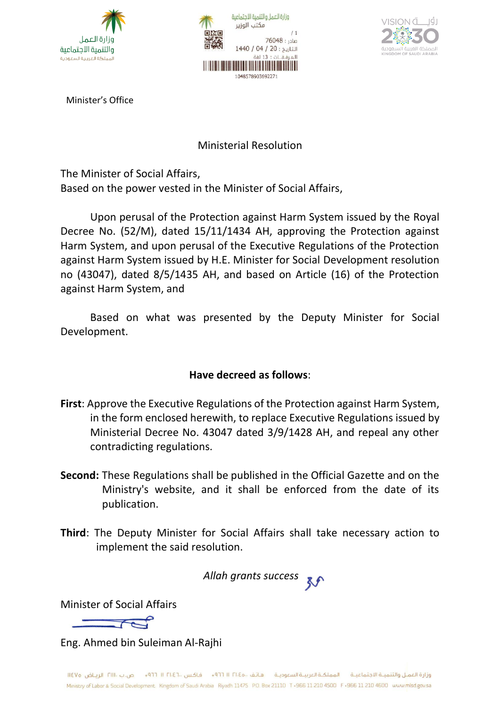





Minister's Office

### Ministerial Resolution

The Minister of Social Affairs, Based on the power vested in the Minister of Social Affairs,

Upon perusal of the Protection against Harm System issued by the Royal Decree No. (52/M), dated 15/11/1434 AH, approving the Protection against Harm System, and upon perusal of the Executive Regulations of the Protection against Harm System issued by H.E. Minister for Social Development resolution no (43047), dated 8/5/1435 AH, and based on Article (16) of the Protection against Harm System, and

Based on what was presented by the Deputy Minister for Social Development.

# **Have decreed as follows**:

- **First**: Approve the Executive Regulations of the Protection against Harm System, in the form enclosed herewith, to replace Executive Regulations issued by Ministerial Decree No. 43047 dated 3/9/1428 AH, and repeal any other contradicting regulations.
- **Second:** These Regulations shall be published in the Official Gazette and on the Ministry's website, and it shall be enforced from the date of its publication.
- **Third**: The Deputy Minister for Social Affairs shall take necessary action to implement the said resolution.

*Allah grants success*

Minister of Social Affairs

Eng. Ahmed bin Suleiman Al-Rajhi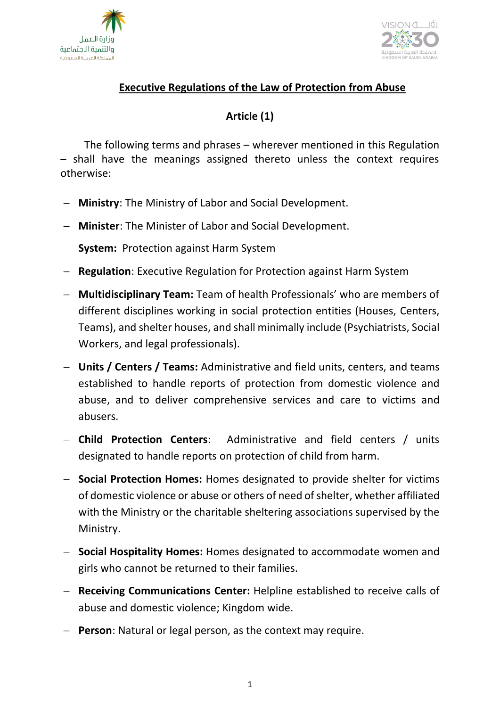



# **Executive Regulations of the Law of Protection from Abuse**

# **Article (1)**

The following terms and phrases – wherever mentioned in this Regulation – shall have the meanings assigned thereto unless the context requires otherwise:

- − **Ministry**: The Ministry of Labor and Social Development.
- − **Minister**: The Minister of Labor and Social Development.

**System:** Protection against Harm System

- − **Regulation**: Executive Regulation for Protection against Harm System
- − **Multidisciplinary Team:** Team of health Professionals' who are members of different disciplines working in social protection entities (Houses, Centers, Teams), and shelter houses, and shall minimally include (Psychiatrists, Social Workers, and legal professionals).
- − **Units / Centers / Teams:** Administrative and field units, centers, and teams established to handle reports of protection from domestic violence and abuse, and to deliver comprehensive services and care to victims and abusers.
- − **Child Protection Centers**: Administrative and field centers / units designated to handle reports on protection of child from harm.
- − **Social Protection Homes:** Homes designated to provide shelter for victims of domestic violence or abuse or others of need of shelter, whether affiliated with the Ministry or the charitable sheltering associations supervised by the Ministry.
- − **Social Hospitality Homes:** Homes designated to accommodate women and girls who cannot be returned to their families.
- − **Receiving Communications Center:** Helpline established to receive calls of abuse and domestic violence; Kingdom wide.
- − **Person**: Natural or legal person, as the context may require.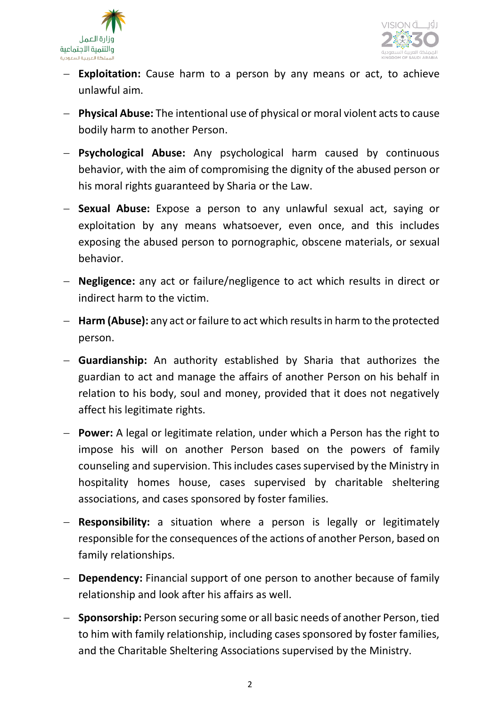



- − **Exploitation:** Cause harm to a person by any means or act, to achieve unlawful aim.
- − **Physical Abuse:** The intentional use of physical or moral violent acts to cause bodily harm to another Person.
- − **Psychological Abuse:** Any psychological harm caused by continuous behavior, with the aim of compromising the dignity of the abused person or his moral rights guaranteed by Sharia or the Law.
- − **Sexual Abuse:** Expose a person to any unlawful sexual act, saying or exploitation by any means whatsoever, even once, and this includes exposing the abused person to pornographic, obscene materials, or sexual behavior.
- − **Negligence:** any act or failure/negligence to act which results in direct or indirect harm to the victim.
- − **Harm (Abuse):** any act or failure to act which resultsin harm to the protected person.
- − **Guardianship:** An authority established by Sharia that authorizes the guardian to act and manage the affairs of another Person on his behalf in relation to his body, soul and money, provided that it does not negatively affect his legitimate rights.
- − **Power:** A legal or legitimate relation, under which a Person has the right to impose his will on another Person based on the powers of family counseling and supervision. This includes cases supervised by the Ministry in hospitality homes house, cases supervised by charitable sheltering associations, and cases sponsored by foster families.
- − **Responsibility:** a situation where a person is legally or legitimately responsible for the consequences of the actions of another Person, based on family relationships.
- − **Dependency:** Financial support of one person to another because of family relationship and look after his affairs as well.
- − **Sponsorship:** Person securing some or all basic needs of another Person, tied to him with family relationship, including cases sponsored by foster families, and the Charitable Sheltering Associations supervised by the Ministry.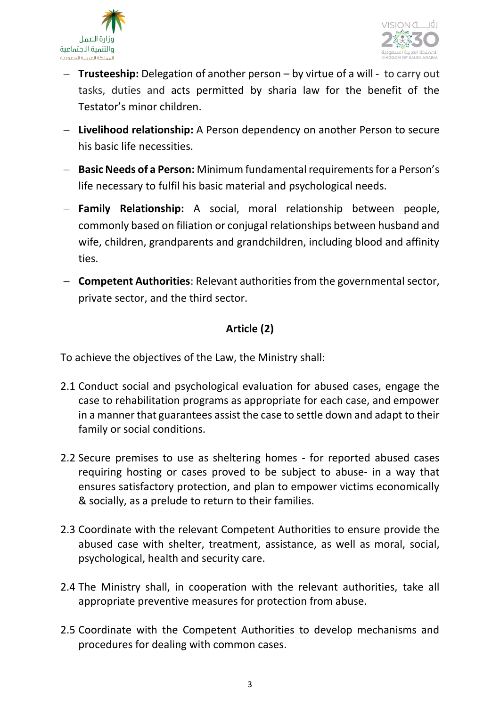



- − **Trusteeship:** Delegation of another person by virtue of a will to carry out tasks, duties and acts permitted by sharia law for the benefit of the Testator's minor children.
- − **Livelihood relationship:** A Person dependency on another Person to secure his basic life necessities.
- − **Basic Needs of a Person:** Minimum fundamental requirements for a Person's life necessary to fulfil his basic material and psychological needs.
- − **Family Relationship:** A social, moral relationship between people, commonly based on filiation or conjugal relationships between husband and wife, children, grandparents and grandchildren, including blood and affinity ties.
- − **Competent Authorities**: Relevant authorities from the governmental sector, private sector, and the third sector.

# **Article (2)**

To achieve the objectives of the Law, the Ministry shall:

- 2.1 Conduct social and psychological evaluation for abused cases, engage the case to rehabilitation programs as appropriate for each case, and empower in a manner that guarantees assist the case to settle down and adapt to their family or social conditions.
- 2.2 Secure premises to use as sheltering homes for reported abused cases requiring hosting or cases proved to be subject to abuse- in a way that ensures satisfactory protection, and plan to empower victims economically & socially, as a prelude to return to their families.
- 2.3 Coordinate with the relevant Competent Authorities to ensure provide the abused case with shelter, treatment, assistance, as well as moral, social, psychological, health and security care.
- 2.4 The Ministry shall, in cooperation with the relevant authorities, take all appropriate preventive measures for protection from abuse.
- 2.5 Coordinate with the Competent Authorities to develop mechanisms and procedures for dealing with common cases.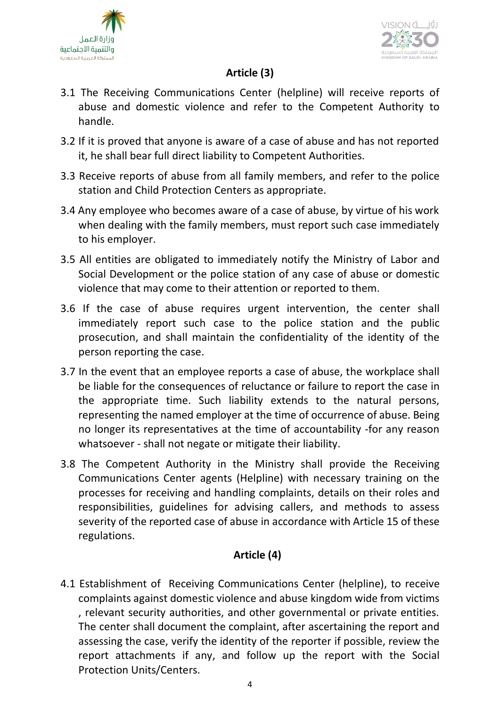



# **Article (3)**

- 3.1 The Receiving Communications Center (helpline) will receive reports of abuse and domestic violence and refer to the Competent Authority to handle.
- 3.2 If it is proved that anyone is aware of a case of abuse and has not reported it, he shall bear full direct liability to Competent Authorities.
- 3.3 Receive reports of abuse from all family members, and refer to the police station and Child Protection Centers as appropriate.
- 3.4 Any employee who becomes aware of a case of abuse, by virtue of his work when dealing with the family members, must report such case immediately to his employer.
- 3.5 All entities are obligated to immediately notify the Ministry of Labor and Social Development or the police station of any case of abuse or domestic violence that may come to their attention or reported to them.
- 3.6 If the case of abuse requires urgent intervention, the center shall immediately report such case to the police station and the public prosecution, and shall maintain the confidentiality of the identity of the person reporting the case.
- 3.7 In the event that an employee reports a case of abuse, the workplace shall be liable for the consequences of reluctance or failure to report the case in the appropriate time. Such liability extends to the natural persons, representing the named employer at the time of occurrence of abuse. Being no longer its representatives at the time of accountability -for any reason whatsoever - shall not negate or mitigate their liability.
- 3.8 The Competent Authority in the Ministry shall provide the Receiving Communications Center agents (Helpline) with necessary training on the processes for receiving and handling complaints, details on their roles and responsibilities, guidelines for advising callers, and methods to assess severity of the reported case of abuse in accordance with Article 15 of these regulations.

# **Article (4)**

4.1 Establishment of Receiving Communications Center (helpline), to receive complaints against domestic violence and abuse kingdom wide from victims , relevant security authorities, and other governmental or private entities. The center shall document the complaint, after ascertaining the report and assessing the case, verify the identity of the reporter if possible, review the report attachments if any, and follow up the report with the Social Protection Units/Centers.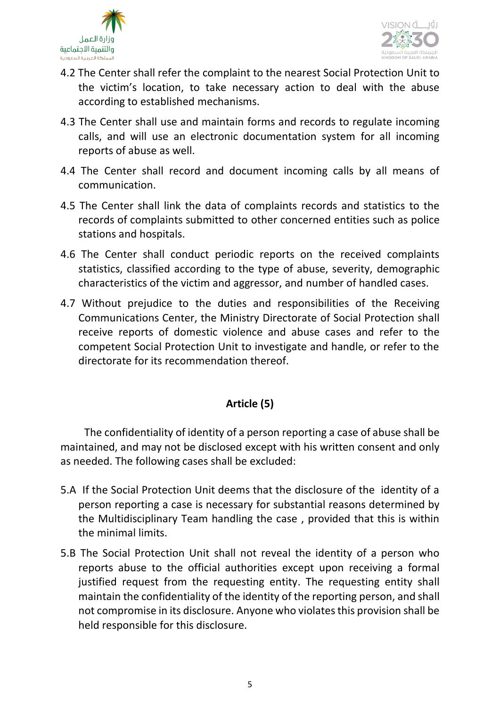



- 4.2 The Center shall refer the complaint to the nearest Social Protection Unit to the victim's location, to take necessary action to deal with the abuse according to established mechanisms.
- 4.3 The Center shall use and maintain forms and records to regulate incoming calls, and will use an electronic documentation system for all incoming reports of abuse as well.
- 4.4 The Center shall record and document incoming calls by all means of communication.
- 4.5 The Center shall link the data of complaints records and statistics to the records of complaints submitted to other concerned entities such as police stations and hospitals.
- 4.6 The Center shall conduct periodic reports on the received complaints statistics, classified according to the type of abuse, severity, demographic characteristics of the victim and aggressor, and number of handled cases.
- 4.7 Without prejudice to the duties and responsibilities of the Receiving Communications Center, the Ministry Directorate of Social Protection shall receive reports of domestic violence and abuse cases and refer to the competent Social Protection Unit to investigate and handle, or refer to the directorate for its recommendation thereof.

# **Article (5)**

The confidentiality of identity of a person reporting a case of abuse shall be maintained, and may not be disclosed except with his written consent and only as needed. The following cases shall be excluded:

- 5.A If the Social Protection Unit deems that the disclosure of the identity of a person reporting a case is necessary for substantial reasons determined by the Multidisciplinary Team handling the case , provided that this is within the minimal limits.
- 5.B The Social Protection Unit shall not reveal the identity of a person who reports abuse to the official authorities except upon receiving a formal justified request from the requesting entity. The requesting entity shall maintain the confidentiality of the identity of the reporting person, and shall not compromise in its disclosure. Anyone who violates this provision shall be held responsible for this disclosure.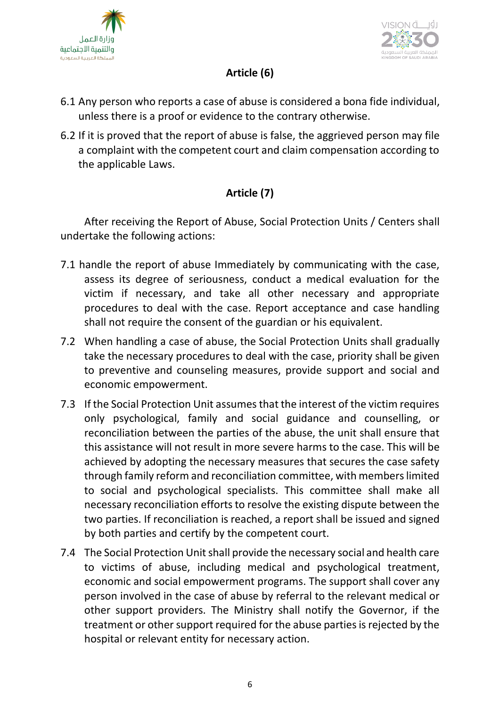



# **Article (6)**

- 6.1 Any person who reports a case of abuse is considered a bona fide individual, unless there is a proof or evidence to the contrary otherwise.
- 6.2 If it is proved that the report of abuse is false, the aggrieved person may file a complaint with the competent court and claim compensation according to the applicable Laws.

# **Article (7)**

After receiving the Report of Abuse, Social Protection Units / Centers shall undertake the following actions:

- 7.1 handle the report of abuse Immediately by communicating with the case, assess its degree of seriousness, conduct a medical evaluation for the victim if necessary, and take all other necessary and appropriate procedures to deal with the case. Report acceptance and case handling shall not require the consent of the guardian or his equivalent.
- 7.2 When handling a case of abuse, the Social Protection Units shall gradually take the necessary procedures to deal with the case, priority shall be given to preventive and counseling measures, provide support and social and economic empowerment.
- 7.3 If the Social Protection Unit assumes that the interest of the victim requires only psychological, family and social guidance and counselling, or reconciliation between the parties of the abuse, the unit shall ensure that this assistance will not result in more severe harms to the case. This will be achieved by adopting the necessary measures that secures the case safety through family reform and reconciliation committee, with memberslimited to social and psychological specialists. This committee shall make all necessary reconciliation efforts to resolve the existing dispute between the two parties. If reconciliation is reached, a report shall be issued and signed by both parties and certify by the competent court.
- 7.4 The Social Protection Unit shall provide the necessary social and health care to victims of abuse, including medical and psychological treatment, economic and social empowerment programs. The support shall cover any person involved in the case of abuse by referral to the relevant medical or other support providers. The Ministry shall notify the Governor, if the treatment or other support required for the abuse parties is rejected by the hospital or relevant entity for necessary action.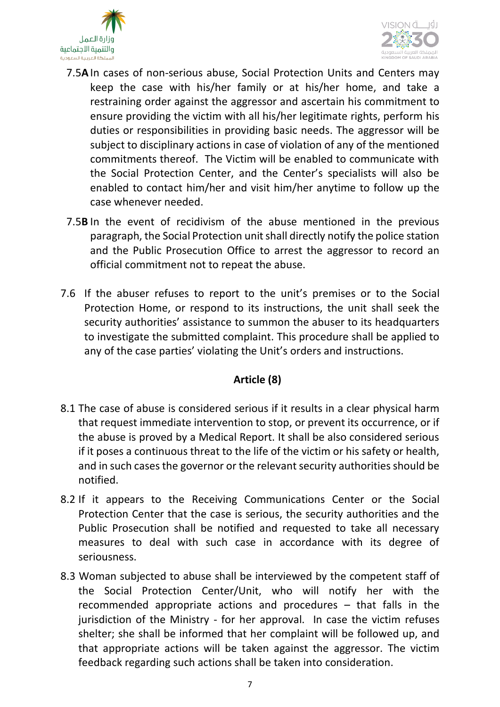



- 7.5**A**In cases of non-serious abuse, Social Protection Units and Centers may keep the case with his/her family or at his/her home, and take a restraining order against the aggressor and ascertain his commitment to ensure providing the victim with all his/her legitimate rights, perform his duties or responsibilities in providing basic needs. The aggressor will be subject to disciplinary actions in case of violation of any of the mentioned commitments thereof. The Victim will be enabled to communicate with the Social Protection Center, and the Center's specialists will also be enabled to contact him/her and visit him/her anytime to follow up the case whenever needed.
- 7.5**B** In the event of recidivism of the abuse mentioned in the previous paragraph, the Social Protection unit shall directly notify the police station and the Public Prosecution Office to arrest the aggressor to record an official commitment not to repeat the abuse.
- 7.6 If the abuser refuses to report to the unit's premises or to the Social Protection Home, or respond to its instructions, the unit shall seek the security authorities' assistance to summon the abuser to its headquarters to investigate the submitted complaint. This procedure shall be applied to any of the case parties' violating the Unit's orders and instructions.

# **Article (8)**

- 8.1 The case of abuse is considered serious if it results in a clear physical harm that request immediate intervention to stop, or prevent its occurrence, or if the abuse is proved by a Medical Report. It shall be also considered serious if it poses a continuous threat to the life of the victim or his safety or health, and in such cases the governor or the relevant security authorities should be notified.
- 8.2 If it appears to the Receiving Communications Center or the Social Protection Center that the case is serious, the security authorities and the Public Prosecution shall be notified and requested to take all necessary measures to deal with such case in accordance with its degree of seriousness.
- 8.3 Woman subjected to abuse shall be interviewed by the competent staff of the Social Protection Center/Unit, who will notify her with the recommended appropriate actions and procedures – that falls in the jurisdiction of the Ministry - for her approval. In case the victim refuses shelter; she shall be informed that her complaint will be followed up, and that appropriate actions will be taken against the aggressor. The victim feedback regarding such actions shall be taken into consideration.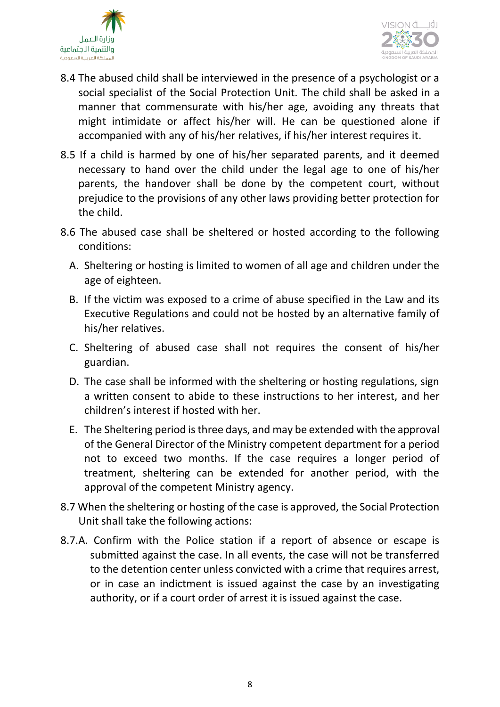



- 8.4 The abused child shall be interviewed in the presence of a psychologist or a social specialist of the Social Protection Unit. The child shall be asked in a manner that commensurate with his/her age, avoiding any threats that might intimidate or affect his/her will. He can be questioned alone if accompanied with any of his/her relatives, if his/her interest requires it.
- 8.5 If a child is harmed by one of his/her separated parents, and it deemed necessary to hand over the child under the legal age to one of his/her parents, the handover shall be done by the competent court, without prejudice to the provisions of any other laws providing better protection for the child.
- 8.6 The abused case shall be sheltered or hosted according to the following conditions:
	- A. Sheltering or hosting is limited to women of all age and children under the age of eighteen.
	- B. If the victim was exposed to a crime of abuse specified in the Law and its Executive Regulations and could not be hosted by an alternative family of his/her relatives.
	- C. Sheltering of abused case shall not requires the consent of his/her guardian.
	- D. The case shall be informed with the sheltering or hosting regulations, sign a written consent to abide to these instructions to her interest, and her children's interest if hosted with her.
	- E. The Sheltering period is three days, and may be extended with the approval of the General Director of the Ministry competent department for a period not to exceed two months. If the case requires a longer period of treatment, sheltering can be extended for another period, with the approval of the competent Ministry agency.
- 8.7 When the sheltering or hosting of the case is approved, the Social Protection Unit shall take the following actions:
- 8.7.A. Confirm with the Police station if a report of absence or escape is submitted against the case. In all events, the case will not be transferred to the detention center unless convicted with a crime that requires arrest, or in case an indictment is issued against the case by an investigating authority, or if a court order of arrest it is issued against the case.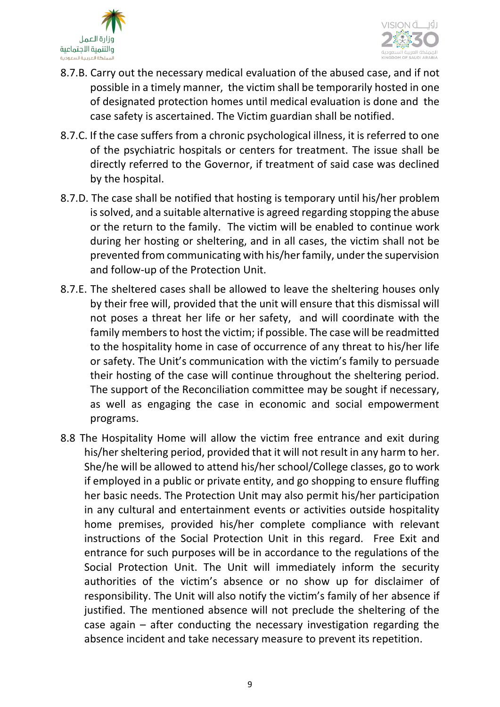



- 8.7.B. Carry out the necessary medical evaluation of the abused case, and if not possible in a timely manner, the victim shall be temporarily hosted in one of designated protection homes until medical evaluation is done and the case safety is ascertained. The Victim guardian shall be notified.
- 8.7.C. If the case suffers from a chronic psychological illness, it is referred to one of the psychiatric hospitals or centers for treatment. The issue shall be directly referred to the Governor, if treatment of said case was declined by the hospital.
- 8.7.D. The case shall be notified that hosting is temporary until his/her problem is solved, and a suitable alternative is agreed regarding stopping the abuse or the return to the family. The victim will be enabled to continue work during her hosting or sheltering, and in all cases, the victim shall not be prevented from communicating with his/her family, under the supervision and follow-up of the Protection Unit.
- 8.7.E. The sheltered cases shall be allowed to leave the sheltering houses only by their free will, provided that the unit will ensure that this dismissal will not poses a threat her life or her safety, and will coordinate with the family members to host the victim; if possible. The case will be readmitted to the hospitality home in case of occurrence of any threat to his/her life or safety. The Unit's communication with the victim's family to persuade their hosting of the case will continue throughout the sheltering period. The support of the Reconciliation committee may be sought if necessary, as well as engaging the case in economic and social empowerment programs.
- 8.8 The Hospitality Home will allow the victim free entrance and exit during his/her sheltering period, provided that it will not result in any harm to her. She/he will be allowed to attend his/her school/College classes, go to work if employed in a public or private entity, and go shopping to ensure fluffing her basic needs. The Protection Unit may also permit his/her participation in any cultural and entertainment events or activities outside hospitality home premises, provided his/her complete compliance with relevant instructions of the Social Protection Unit in this regard. Free Exit and entrance for such purposes will be in accordance to the regulations of the Social Protection Unit. The Unit will immediately inform the security authorities of the victim's absence or no show up for disclaimer of responsibility. The Unit will also notify the victim's family of her absence if justified. The mentioned absence will not preclude the sheltering of the case again – after conducting the necessary investigation regarding the absence incident and take necessary measure to prevent its repetition.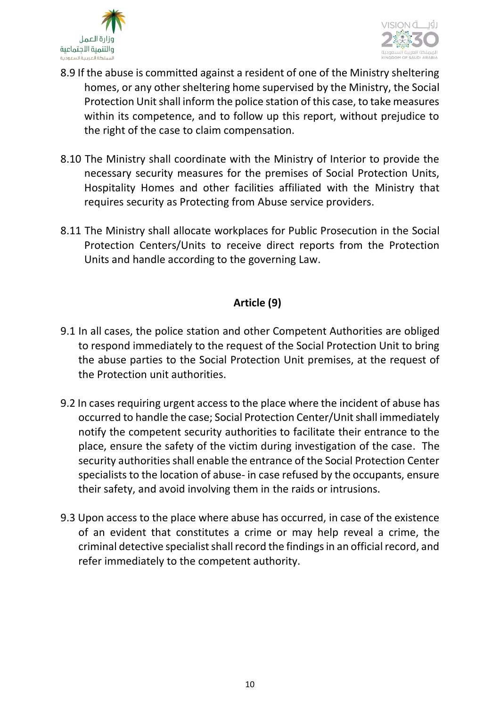



- 8.9 If the abuse is committed against a resident of one of the Ministry sheltering homes, or any other sheltering home supervised by the Ministry, the Social Protection Unit shall inform the police station of this case, to take measures within its competence, and to follow up this report, without prejudice to the right of the case to claim compensation.
- 8.10 The Ministry shall coordinate with the Ministry of Interior to provide the necessary security measures for the premises of Social Protection Units, Hospitality Homes and other facilities affiliated with the Ministry that requires security as Protecting from Abuse service providers.
- 8.11 The Ministry shall allocate workplaces for Public Prosecution in the Social Protection Centers/Units to receive direct reports from the Protection Units and handle according to the governing Law.

#### **Article (9)**

- 9.1 In all cases, the police station and other Competent Authorities are obliged to respond immediately to the request of the Social Protection Unit to bring the abuse parties to the Social Protection Unit premises, at the request of the Protection unit authorities.
- 9.2 In cases requiring urgent access to the place where the incident of abuse has occurred to handle the case; Social Protection Center/Unit shall immediately notify the competent security authorities to facilitate their entrance to the place, ensure the safety of the victim during investigation of the case. The security authorities shall enable the entrance of the Social Protection Center specialists to the location of abuse- in case refused by the occupants, ensure their safety, and avoid involving them in the raids or intrusions.
- 9.3 Upon access to the place where abuse has occurred, in case of the existence of an evident that constitutes a crime or may help reveal a crime, the criminal detective specialist shall record the findings in an official record, and refer immediately to the competent authority.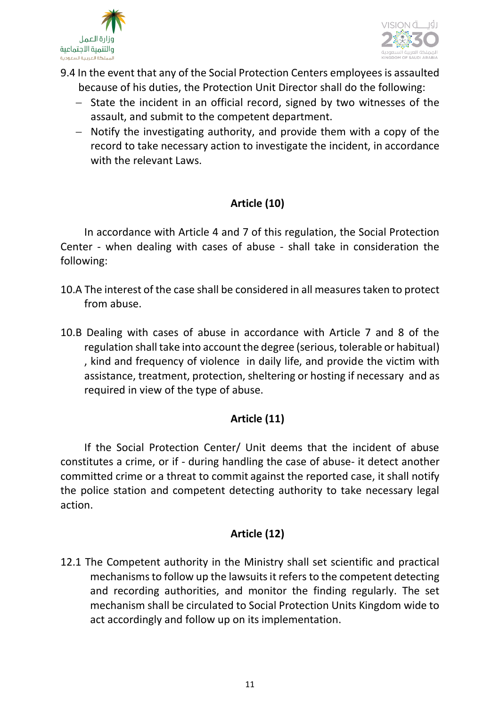



- 9.4 In the event that any of the Social Protection Centers employees is assaulted because of his duties, the Protection Unit Director shall do the following:
	- − State the incident in an official record, signed by two witnesses of the assault, and submit to the competent department.
	- − Notify the investigating authority, and provide them with a copy of the record to take necessary action to investigate the incident, in accordance with the relevant Laws.

# **Article (10)**

In accordance with Article 4 and 7 of this regulation, the Social Protection Center - when dealing with cases of abuse - shall take in consideration the following:

- 10.A The interest of the case shall be considered in all measures taken to protect from abuse.
- 10.B Dealing with cases of abuse in accordance with Article 7 and 8 of the regulation shall take into account the degree (serious, tolerable or habitual) , kind and frequency of violence in daily life, and provide the victim with assistance, treatment, protection, sheltering or hosting if necessary and as required in view of the type of abuse.

# **Article (11)**

If the Social Protection Center/ Unit deems that the incident of abuse constitutes a crime, or if - during handling the case of abuse- it detect another committed crime or a threat to commit against the reported case, it shall notify the police station and competent detecting authority to take necessary legal action.

# **Article (12)**

12.1 The Competent authority in the Ministry shall set scientific and practical mechanisms to follow up the lawsuits it refers to the competent detecting and recording authorities, and monitor the finding regularly. The set mechanism shall be circulated to Social Protection Units Kingdom wide to act accordingly and follow up on its implementation.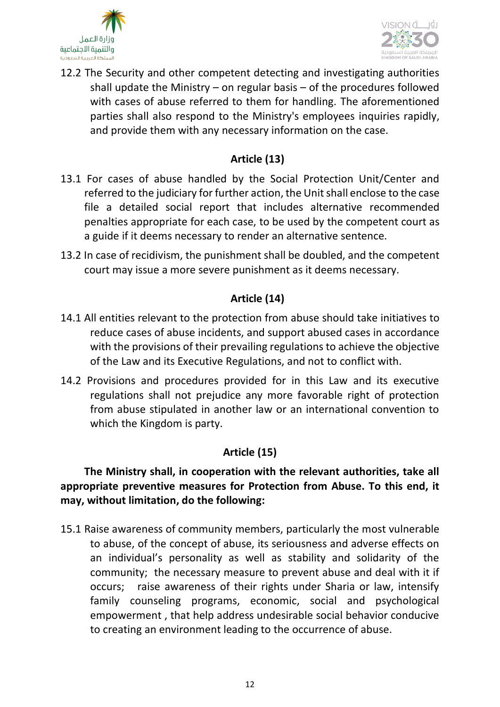



12.2 The Security and other competent detecting and investigating authorities shall update the Ministry – on regular basis – of the procedures followed with cases of abuse referred to them for handling. The aforementioned parties shall also respond to the Ministry's employees inquiries rapidly, and provide them with any necessary information on the case.

#### **Article (13)**

- 13.1 For cases of abuse handled by the Social Protection Unit/Center and referred to the judiciary for further action, the Unit shall enclose to the case file a detailed social report that includes alternative recommended penalties appropriate for each case, to be used by the competent court as a guide if it deems necessary to render an alternative sentence.
- 13.2 In case of recidivism, the punishment shall be doubled, and the competent court may issue a more severe punishment as it deems necessary.

# **Article (14)**

- 14.1 All entities relevant to the protection from abuse should take initiatives to reduce cases of abuse incidents, and support abused cases in accordance with the provisions of their prevailing regulations to achieve the objective of the Law and its Executive Regulations, and not to conflict with.
- 14.2 Provisions and procedures provided for in this Law and its executive regulations shall not prejudice any more favorable right of protection from abuse stipulated in another law or an international convention to which the Kingdom is party.

# **Article (15)**

# **The Ministry shall, in cooperation with the relevant authorities, take all appropriate preventive measures for Protection from Abuse. To this end, it may, without limitation, do the following:**

15.1 Raise awareness of community members, particularly the most vulnerable to abuse, of the concept of abuse, its seriousness and adverse effects on an individual's personality as well as stability and solidarity of the community; the necessary measure to prevent abuse and deal with it if occurs; raise awareness of their rights under Sharia or law, intensify family counseling programs, economic, social and psychological empowerment , that help address undesirable social behavior conducive to creating an environment leading to the occurrence of abuse.